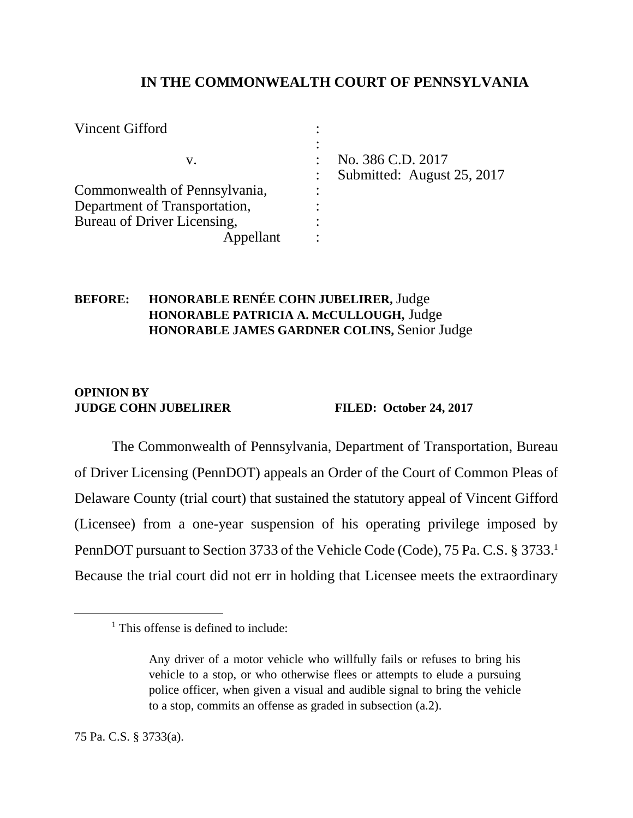## **IN THE COMMONWEALTH COURT OF PENNSYLVANIA**

| Vincent Gifford               |                            |
|-------------------------------|----------------------------|
| V.                            | No. 386 C.D. 2017          |
|                               | Submitted: August 25, 2017 |
| Commonwealth of Pennsylvania, |                            |
| Department of Transportation, |                            |
| Bureau of Driver Licensing,   |                            |
| Appellant                     |                            |

## **BEFORE: HONORABLE RENÉE COHN JUBELIRER,** Judge **HONORABLE PATRICIA A. McCULLOUGH,** Judge **HONORABLE JAMES GARDNER COLINS,** Senior Judge

## **OPINION BY JUDGE COHN JUBELIRER FILED: October 24, 2017**

The Commonwealth of Pennsylvania, Department of Transportation, Bureau of Driver Licensing (PennDOT) appeals an Order of the Court of Common Pleas of Delaware County (trial court) that sustained the statutory appeal of Vincent Gifford (Licensee) from a one-year suspension of his operating privilege imposed by PennDOT pursuant to Section 3733 of the Vehicle Code (Code), 75 Pa. C.S. § 3733.<sup>1</sup> Because the trial court did not err in holding that Licensee meets the extraordinary

<sup>&</sup>lt;sup>1</sup> This offense is defined to include:

Any driver of a motor vehicle who willfully fails or refuses to bring his vehicle to a stop, or who otherwise flees or attempts to elude a pursuing police officer, when given a visual and audible signal to bring the vehicle to a stop, commits an offense as graded in subsection (a.2).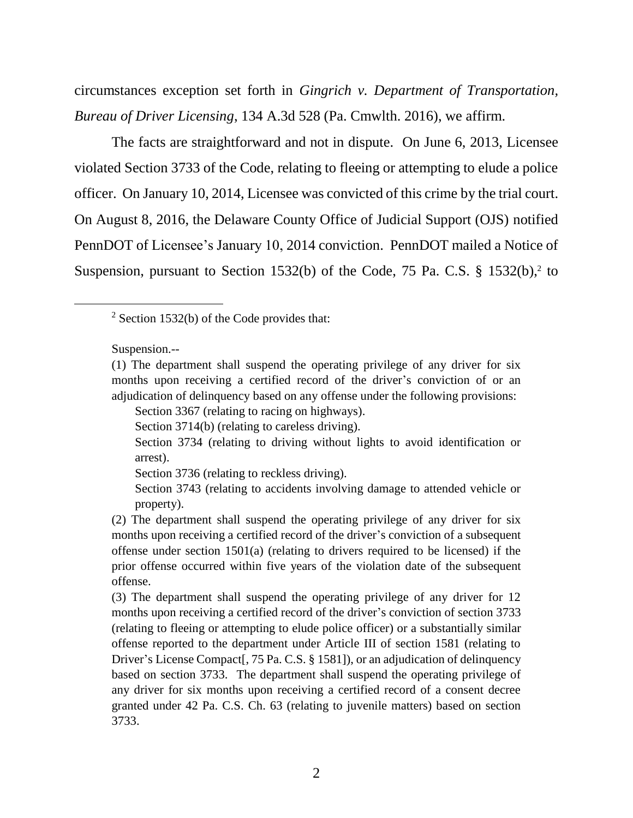circumstances exception set forth in *Gingrich v. Department of Transportation, Bureau of Driver Licensing*, 134 A.3d 528 (Pa. Cmwlth. 2016), we affirm.

The facts are straightforward and not in dispute. On June 6, 2013, Licensee violated Section 3733 of the Code, relating to fleeing or attempting to elude a police officer. On January 10, 2014, Licensee was convicted of this crime by the trial court. On August 8, 2016, the Delaware County Office of Judicial Support (OJS) notified PennDOT of Licensee's January 10, 2014 conviction. PennDOT mailed a Notice of Suspension, pursuant to Section 1532(b) of the Code, 75 Pa. C.S. § 1532(b),<sup>2</sup> to

<sup>2</sup> Section 1532(b) of the Code provides that:

Suspension.--

 $\overline{a}$ 

Section 3367 (relating to racing on highways).

Section 3714(b) (relating to careless driving).

Section 3734 (relating to driving without lights to avoid identification or arrest).

Section 3736 (relating to reckless driving).

Section 3743 (relating to accidents involving damage to attended vehicle or property).

(2) The department shall suspend the operating privilege of any driver for six months upon receiving a certified record of the driver's conviction of a subsequent offense under section 1501(a) (relating to drivers required to be licensed) if the prior offense occurred within five years of the violation date of the subsequent offense.

(3) The department shall suspend the operating privilege of any driver for 12 months upon receiving a certified record of the driver's conviction of section 3733 (relating to fleeing or attempting to elude police officer) or a substantially similar offense reported to the department under Article III of section 1581 (relating to Driver's License Compact[, 75 Pa. C.S. § 1581]), or an adjudication of delinquency based on section 3733. The department shall suspend the operating privilege of any driver for six months upon receiving a certified record of a consent decree granted under 42 Pa. C.S. Ch. 63 (relating to juvenile matters) based on section 3733.

<sup>(1)</sup> The department shall suspend the operating privilege of any driver for six months upon receiving a certified record of the driver's conviction of or an adjudication of delinquency based on any offense under the following provisions: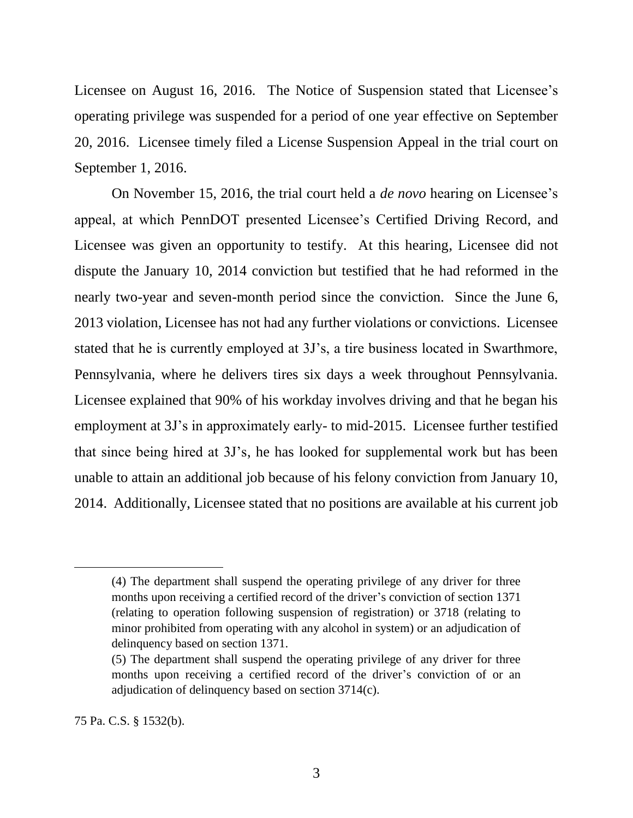Licensee on August 16, 2016. The Notice of Suspension stated that Licensee's operating privilege was suspended for a period of one year effective on September 20, 2016. Licensee timely filed a License Suspension Appeal in the trial court on September 1, 2016.

On November 15, 2016, the trial court held a *de novo* hearing on Licensee's appeal, at which PennDOT presented Licensee's Certified Driving Record, and Licensee was given an opportunity to testify. At this hearing, Licensee did not dispute the January 10, 2014 conviction but testified that he had reformed in the nearly two-year and seven-month period since the conviction. Since the June 6, 2013 violation, Licensee has not had any further violations or convictions. Licensee stated that he is currently employed at 3J's, a tire business located in Swarthmore, Pennsylvania, where he delivers tires six days a week throughout Pennsylvania. Licensee explained that 90% of his workday involves driving and that he began his employment at 3J's in approximately early- to mid-2015. Licensee further testified that since being hired at 3J's, he has looked for supplemental work but has been unable to attain an additional job because of his felony conviction from January 10, 2014. Additionally, Licensee stated that no positions are available at his current job

75 Pa. C.S. § 1532(b).

<sup>(4)</sup> The department shall suspend the operating privilege of any driver for three months upon receiving a certified record of the driver's conviction of section 1371 (relating to operation following suspension of registration) or 3718 (relating to minor prohibited from operating with any alcohol in system) or an adjudication of delinquency based on section 1371.

<sup>(5)</sup> The department shall suspend the operating privilege of any driver for three months upon receiving a certified record of the driver's conviction of or an adjudication of delinquency based on section 3714(c).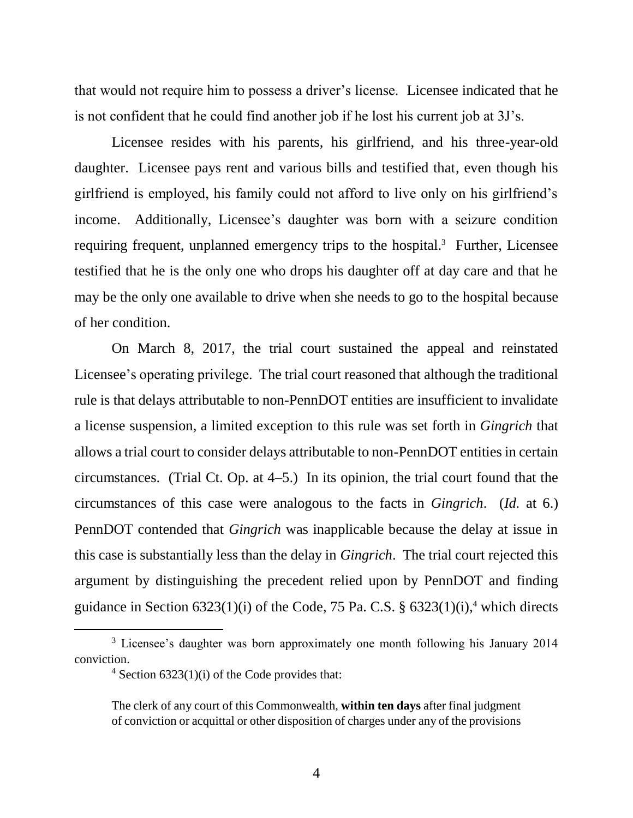that would not require him to possess a driver's license. Licensee indicated that he is not confident that he could find another job if he lost his current job at 3J's.

Licensee resides with his parents, his girlfriend, and his three-year-old daughter. Licensee pays rent and various bills and testified that, even though his girlfriend is employed, his family could not afford to live only on his girlfriend's income. Additionally, Licensee's daughter was born with a seizure condition requiring frequent, unplanned emergency trips to the hospital.<sup>3</sup> Further, Licensee testified that he is the only one who drops his daughter off at day care and that he may be the only one available to drive when she needs to go to the hospital because of her condition.

On March 8, 2017, the trial court sustained the appeal and reinstated Licensee's operating privilege. The trial court reasoned that although the traditional rule is that delays attributable to non-PennDOT entities are insufficient to invalidate a license suspension, a limited exception to this rule was set forth in *Gingrich* that allows a trial court to consider delays attributable to non-PennDOT entities in certain circumstances. (Trial Ct. Op. at 4–5.) In its opinion, the trial court found that the circumstances of this case were analogous to the facts in *Gingrich*. (*Id.* at 6.) PennDOT contended that *Gingrich* was inapplicable because the delay at issue in this case is substantially less than the delay in *Gingrich*. The trial court rejected this argument by distinguishing the precedent relied upon by PennDOT and finding guidance in Section  $6323(1)(i)$  of the Code, 75 Pa. C.S. §  $6323(1)(i)$ ,<sup>4</sup> which directs

<sup>&</sup>lt;sup>3</sup> Licensee's daughter was born approximately one month following his January 2014 conviction.

 $4$  Section 6323(1)(i) of the Code provides that:

The clerk of any court of this Commonwealth, **within ten days** after final judgment of conviction or acquittal or other disposition of charges under any of the provisions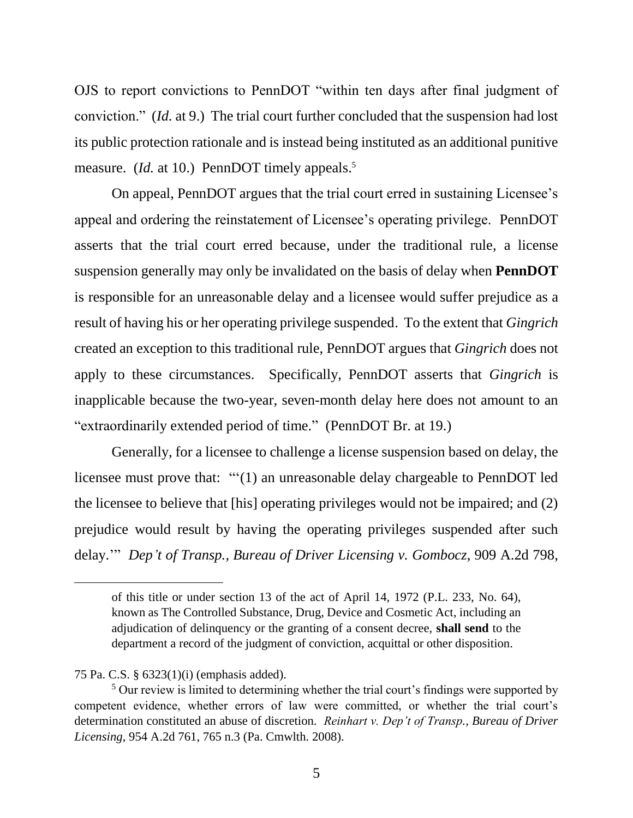OJS to report convictions to PennDOT "within ten days after final judgment of conviction." (*Id.* at 9.) The trial court further concluded that the suspension had lost its public protection rationale and is instead being instituted as an additional punitive measure. (*Id.* at 10.) PennDOT timely appeals.<sup>5</sup>

On appeal, PennDOT argues that the trial court erred in sustaining Licensee's appeal and ordering the reinstatement of Licensee's operating privilege. PennDOT asserts that the trial court erred because, under the traditional rule, a license suspension generally may only be invalidated on the basis of delay when **PennDOT** is responsible for an unreasonable delay and a licensee would suffer prejudice as a result of having his or her operating privilege suspended. To the extent that *Gingrich*  created an exception to this traditional rule, PennDOT argues that *Gingrich* does not apply to these circumstances. Specifically, PennDOT asserts that *Gingrich* is inapplicable because the two-year, seven-month delay here does not amount to an "extraordinarily extended period of time." (PennDOT Br. at 19.)

Generally, for a licensee to challenge a license suspension based on delay, the licensee must prove that: "'(1) an unreasonable delay chargeable to PennDOT led the licensee to believe that [his] operating privileges would not be impaired; and (2) prejudice would result by having the operating privileges suspended after such delay.'" *Dep't of Transp., Bureau of Driver Licensing v. Gombocz*, 909 A.2d 798,

#### 75 Pa. C.S. § 6323(1)(i) (emphasis added).

of this title or under section 13 of the act of April 14, 1972 (P.L. 233, No. 64), known as The Controlled Substance, Drug, Device and Cosmetic Act, including an adjudication of delinquency or the granting of a consent decree, **shall send** to the department a record of the judgment of conviction, acquittal or other disposition.

<sup>&</sup>lt;sup>5</sup> Our review is limited to determining whether the trial court's findings were supported by competent evidence, whether errors of law were committed, or whether the trial court's determination constituted an abuse of discretion. *Reinhart v. Dep't of Transp., Bureau of Driver Licensing*, 954 A.2d 761, 765 n.3 (Pa. Cmwlth. 2008).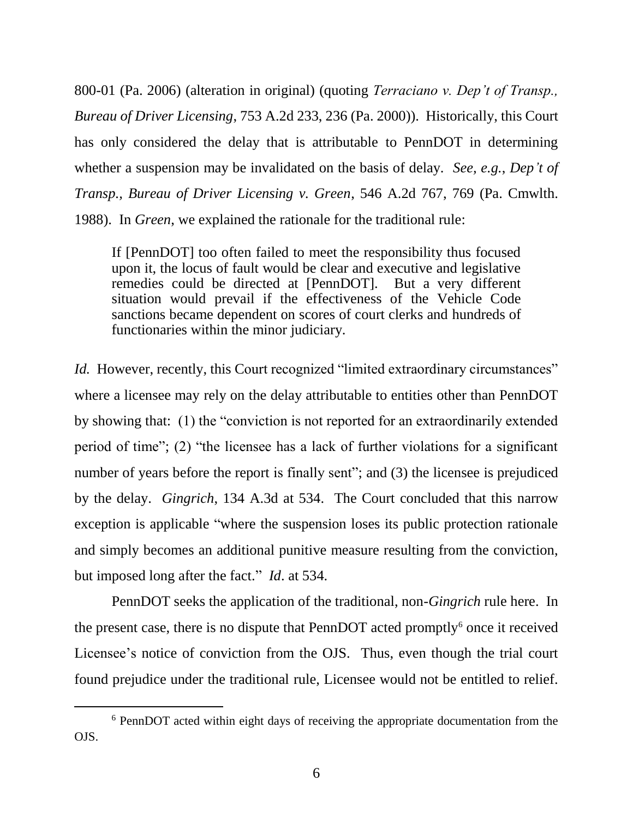800-01 (Pa. 2006) (alteration in original) (quoting *Terraciano v. Dep't of Transp., Bureau of Driver Licensing*, 753 A.2d 233, 236 (Pa. 2000)). Historically, this Court has only considered the delay that is attributable to PennDOT in determining whether a suspension may be invalidated on the basis of delay. *See, e.g.*, *Dep't of Transp., Bureau of Driver Licensing v. Green*, 546 A.2d 767, 769 (Pa. Cmwlth. 1988). In *Green*, we explained the rationale for the traditional rule:

If [PennDOT] too often failed to meet the responsibility thus focused upon it, the locus of fault would be clear and executive and legislative remedies could be directed at [PennDOT]. But a very different situation would prevail if the effectiveness of the Vehicle Code sanctions became dependent on scores of court clerks and hundreds of functionaries within the minor judiciary.

*Id.* However, recently, this Court recognized "limited extraordinary circumstances" where a licensee may rely on the delay attributable to entities other than PennDOT by showing that: (1) the "conviction is not reported for an extraordinarily extended period of time"; (2) "the licensee has a lack of further violations for a significant number of years before the report is finally sent"; and (3) the licensee is prejudiced by the delay. *Gingrich*, 134 A.3d at 534. The Court concluded that this narrow exception is applicable "where the suspension loses its public protection rationale and simply becomes an additional punitive measure resulting from the conviction, but imposed long after the fact." *Id*. at 534.

PennDOT seeks the application of the traditional, non-*Gingrich* rule here. In the present case, there is no dispute that PennDOT acted promptly $6$  once it received Licensee's notice of conviction from the OJS. Thus, even though the trial court found prejudice under the traditional rule, Licensee would not be entitled to relief.

<sup>6</sup> PennDOT acted within eight days of receiving the appropriate documentation from the OJS.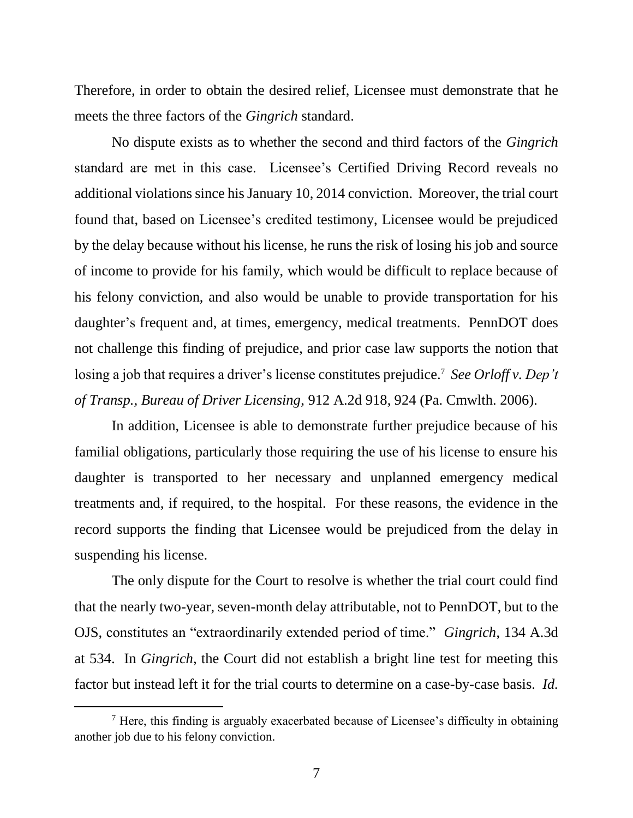Therefore, in order to obtain the desired relief, Licensee must demonstrate that he meets the three factors of the *Gingrich* standard.

No dispute exists as to whether the second and third factors of the *Gingrich*  standard are met in this case. Licensee's Certified Driving Record reveals no additional violations since his January 10, 2014 conviction. Moreover, the trial court found that, based on Licensee's credited testimony, Licensee would be prejudiced by the delay because without his license, he runs the risk of losing his job and source of income to provide for his family, which would be difficult to replace because of his felony conviction, and also would be unable to provide transportation for his daughter's frequent and, at times, emergency, medical treatments. PennDOT does not challenge this finding of prejudice, and prior case law supports the notion that losing a job that requires a driver's license constitutes prejudice.<sup>7</sup> See Orloff v. Dep't *of Transp., Bureau of Driver Licensing*, 912 A.2d 918, 924 (Pa. Cmwlth. 2006).

In addition, Licensee is able to demonstrate further prejudice because of his familial obligations, particularly those requiring the use of his license to ensure his daughter is transported to her necessary and unplanned emergency medical treatments and, if required, to the hospital. For these reasons, the evidence in the record supports the finding that Licensee would be prejudiced from the delay in suspending his license.

The only dispute for the Court to resolve is whether the trial court could find that the nearly two-year, seven-month delay attributable, not to PennDOT, but to the OJS, constitutes an "extraordinarily extended period of time." *Gingrich*, 134 A.3d at 534. In *Gingrich*, the Court did not establish a bright line test for meeting this factor but instead left it for the trial courts to determine on a case-by-case basis. *Id.*

 $<sup>7</sup>$  Here, this finding is arguably exacerbated because of Licensee's difficulty in obtaining</sup> another job due to his felony conviction.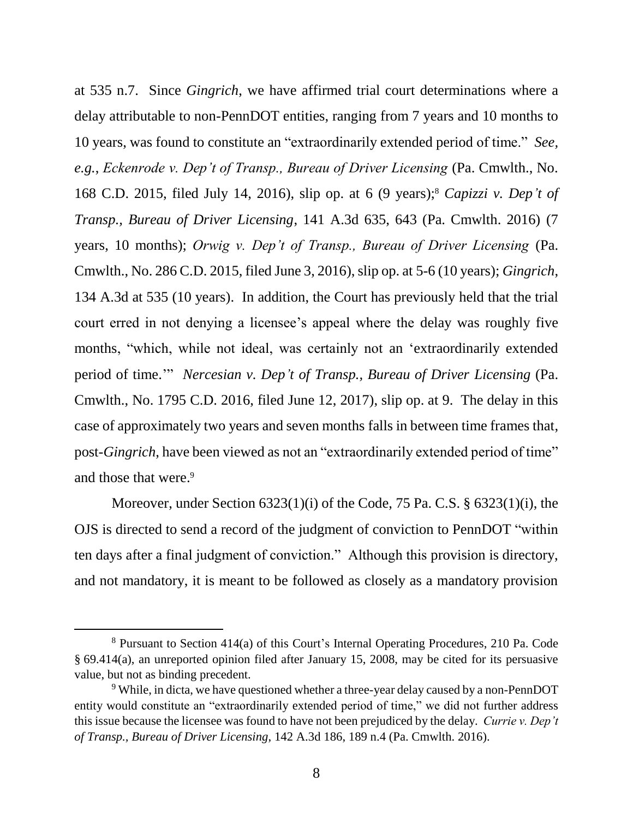at 535 n.7. Since *Gingrich*, we have affirmed trial court determinations where a delay attributable to non-PennDOT entities, ranging from 7 years and 10 months to 10 years, was found to constitute an "extraordinarily extended period of time."*See, e.g.*, *Eckenrode v. Dep't of Transp., Bureau of Driver Licensing* (Pa. Cmwlth., No. 168 C.D. 2015, filed July 14, 2016), slip op. at 6 (9 years); <sup>8</sup> *Capizzi v. Dep't of Transp., Bureau of Driver Licensing*, 141 A.3d 635, 643 (Pa. Cmwlth. 2016) (7 years, 10 months); *Orwig v. Dep't of Transp., Bureau of Driver Licensing* (Pa. Cmwlth., No. 286 C.D. 2015, filed June 3, 2016), slip op. at 5-6 (10 years); *Gingrich*, 134 A.3d at 535 (10 years). In addition, the Court has previously held that the trial court erred in not denying a licensee's appeal where the delay was roughly five months, "which, while not ideal, was certainly not an 'extraordinarily extended period of time.'" *Nercesian v. Dep't of Transp., Bureau of Driver Licensing* (Pa. Cmwlth., No. 1795 C.D. 2016, filed June 12, 2017), slip op. at 9. The delay in this case of approximately two years and seven months falls in between time frames that, post-*Gingrich*, have been viewed as not an "extraordinarily extended period of time" and those that were. 9

Moreover, under Section 6323(1)(i) of the Code, 75 Pa. C.S. § 6323(1)(i), the OJS is directed to send a record of the judgment of conviction to PennDOT "within ten days after a final judgment of conviction." Although this provision is directory, and not mandatory, it is meant to be followed as closely as a mandatory provision

<sup>8</sup> Pursuant to Section 414(a) of this Court's Internal Operating Procedures, 210 Pa. Code § 69.414(a), an unreported opinion filed after January 15, 2008, may be cited for its persuasive value, but not as binding precedent.

<sup>&</sup>lt;sup>9</sup> While, in dicta, we have questioned whether a three-year delay caused by a non-PennDOT entity would constitute an "extraordinarily extended period of time," we did not further address this issue because the licensee was found to have not been prejudiced by the delay. *Currie v. Dep't of Transp., Bureau of Driver Licensing*, 142 A.3d 186, 189 n.4 (Pa. Cmwlth. 2016).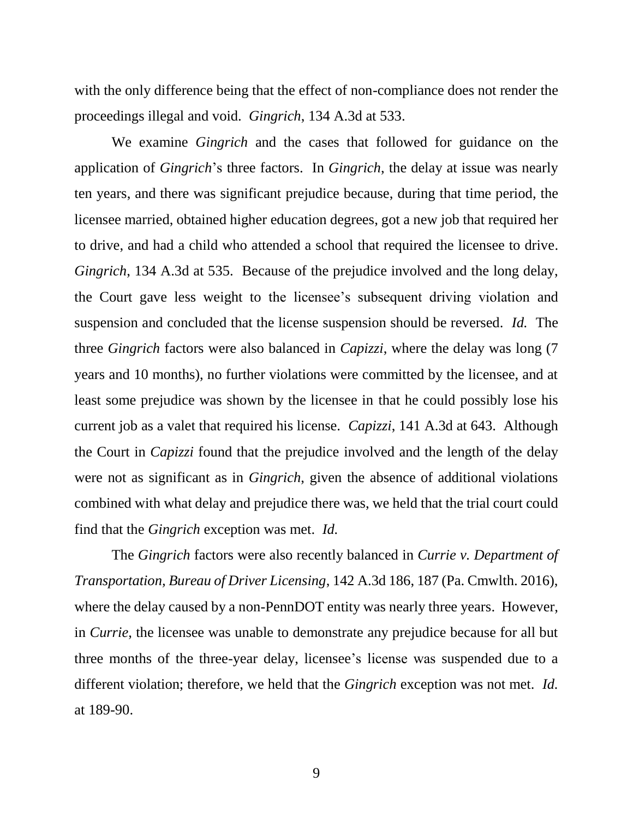with the only difference being that the effect of non-compliance does not render the proceedings illegal and void. *Gingrich*, 134 A.3d at 533.

We examine *Gingrich* and the cases that followed for guidance on the application of *Gingrich*'s three factors. In *Gingrich*, the delay at issue was nearly ten years, and there was significant prejudice because, during that time period, the licensee married, obtained higher education degrees, got a new job that required her to drive, and had a child who attended a school that required the licensee to drive. *Gingrich*, 134 A.3d at 535. Because of the prejudice involved and the long delay, the Court gave less weight to the licensee's subsequent driving violation and suspension and concluded that the license suspension should be reversed. *Id.* The three *Gingrich* factors were also balanced in *Capizzi*, where the delay was long (7 years and 10 months), no further violations were committed by the licensee, and at least some prejudice was shown by the licensee in that he could possibly lose his current job as a valet that required his license. *Capizzi*, 141 A.3d at 643. Although the Court in *Capizzi* found that the prejudice involved and the length of the delay were not as significant as in *Gingrich*, given the absence of additional violations combined with what delay and prejudice there was, we held that the trial court could find that the *Gingrich* exception was met. *Id.* 

The *Gingrich* factors were also recently balanced in *Currie v. Department of Transportation, Bureau of Driver Licensing*, 142 A.3d 186, 187 (Pa. Cmwlth. 2016), where the delay caused by a non-PennDOT entity was nearly three years. However, in *Currie*, the licensee was unable to demonstrate any prejudice because for all but three months of the three-year delay, licensee's license was suspended due to a different violation; therefore, we held that the *Gingrich* exception was not met. *Id.*  at 189-90.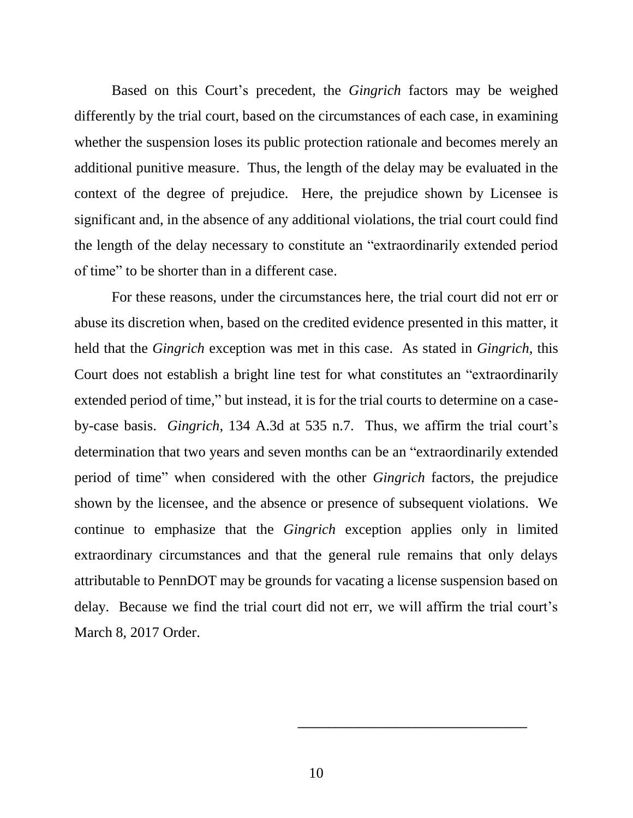Based on this Court's precedent, the *Gingrich* factors may be weighed differently by the trial court, based on the circumstances of each case, in examining whether the suspension loses its public protection rationale and becomes merely an additional punitive measure. Thus, the length of the delay may be evaluated in the context of the degree of prejudice. Here, the prejudice shown by Licensee is significant and, in the absence of any additional violations, the trial court could find the length of the delay necessary to constitute an "extraordinarily extended period of time" to be shorter than in a different case.

For these reasons, under the circumstances here, the trial court did not err or abuse its discretion when, based on the credited evidence presented in this matter, it held that the *Gingrich* exception was met in this case. As stated in *Gingrich*, this Court does not establish a bright line test for what constitutes an "extraordinarily extended period of time," but instead, it is for the trial courts to determine on a caseby-case basis. *Gingrich*, 134 A.3d at 535 n.7. Thus, we affirm the trial court's determination that two years and seven months can be an "extraordinarily extended period of time" when considered with the other *Gingrich* factors, the prejudice shown by the licensee, and the absence or presence of subsequent violations. We continue to emphasize that the *Gingrich* exception applies only in limited extraordinary circumstances and that the general rule remains that only delays attributable to PennDOT may be grounds for vacating a license suspension based on delay. Because we find the trial court did not err, we will affirm the trial court's March 8, 2017 Order.

**\_\_\_\_\_\_\_\_\_\_\_\_\_\_\_\_\_\_\_\_\_\_\_\_\_\_\_\_\_\_\_\_\_\_\_\_\_**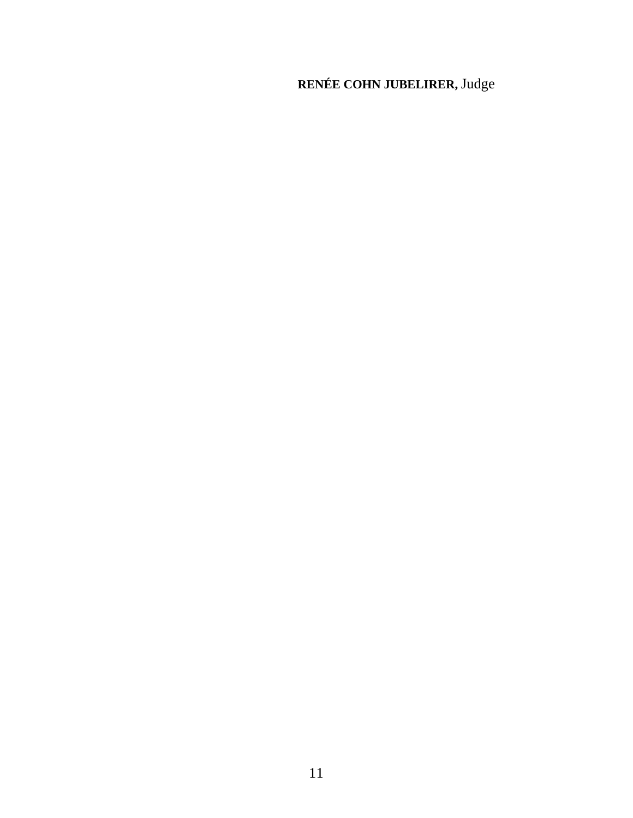# **RENÉE COHN JUBELIRER,** Judge